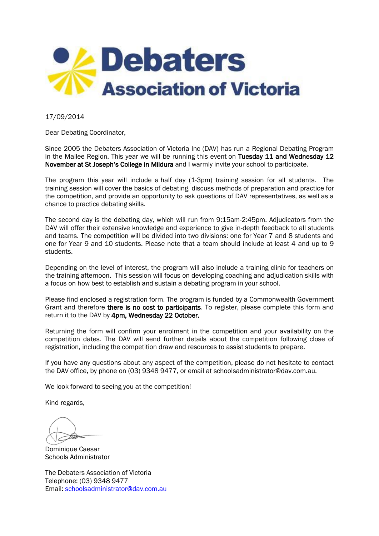

17/09/2014

Dear Debating Coordinator,

Since 2005 the Debaters Association of Victoria Inc (DAV) has run a Regional Debating Program in the Mallee Region. This year we will be running this event on Tuesday 11 and Wednesday 12 November at St Joseph's College in Mildura and I warmly invite your school to participate.

The program this year will include a half day (1-3pm) training session for all students. The training session will cover the basics of debating, discuss methods of preparation and practice for the competition, and provide an opportunity to ask questions of DAV representatives, as well as a chance to practice debating skills.

The second day is the debating day, which will run from 9:15am-2:45pm. Adjudicators from the DAV will offer their extensive knowledge and experience to give in-depth feedback to all students and teams. The competition will be divided into two divisions: one for Year 7 and 8 students and one for Year 9 and 10 students. Please note that a team should include at least 4 and up to 9 students.

Depending on the level of interest, the program will also include a training clinic for teachers on the training afternoon. This session will focus on developing coaching and adjudication skills with a focus on how best to establish and sustain a debating program in your school.

Please find enclosed a registration form. The program is funded by a Commonwealth Government Grant and therefore there is no cost to participants. To register, please complete this form and return it to the DAV by 4pm, Wednesday 22 October.

Returning the form will confirm your enrolment in the competition and your availability on the competition dates. The DAV will send further details about the competition following close of registration, including the competition draw and resources to assist students to prepare.

If you have any questions about any aspect of the competition, please do not hesitate to contact the DAV office, by phone on (03) 9348 9477, or email at schoolsadministrator@dav.com.au.

We look forward to seeing you at the competition!

Kind regards,

Dominique Caesar Schools Administrator

The Debaters Association of Victoria Telephone: (03) 9348 9477 Email: [schoolsadministrator@dav.com.au](mailto:schoolsadministrator@dav.com.au)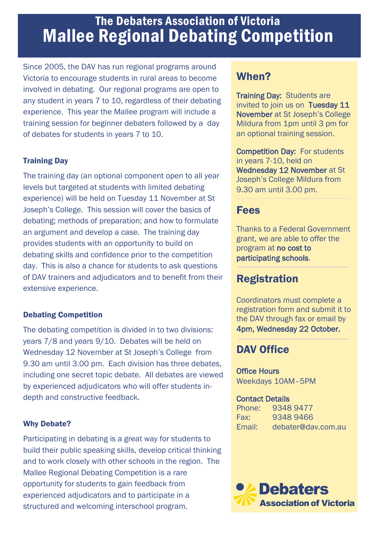# The Debaters Association of Victoria Mallee Regional Debating Competition

Since 2005, the DAV has run regional programs around Victoria to encourage students in rural areas to become involved in debating. Our regional programs are open to any student in years 7 to 10, regardless of their debating experience. This year the Mallee program will include a training session for beginner debaters followed by a day of debates for students in years 7 to 10.

### Training Day

The training day (an optional component open to all year levels but targeted at students with limited debating experience) will be held on Tuesday 11 November at St Joseph's College. This session will cover the basics of debating; methods of preparation; and how to formulate an argument and develop a case. The training day provides students with an opportunity to build on debating skills and confidence prior to the competition day. This is also a chance for students to ask questions of DAV trainers and adjudicators and to benefit from their extensive experience.

#### Debating Competition

The debating competition is divided in to two divisions: years 7/8 and years 9/10. Debates will be held on Wednesday 12 November at St Joseph's College from 9.30 am until 3.00 pm. Each division has three debates, including one secret topic debate. All debates are viewed by experienced adjudicators who will offer students indepth and constructive feedback.

#### Why Debate?

Participating in debating is a great way for students to build their public speaking skills, develop critical thinking and to work closely with other schools in the region. The Mallee Regional Debating Competition is a rare opportunity for students to gain feedback from experienced adjudicators and to participate in a structured and welcoming interschool program.

# When?

**Training Day: Students are** invited to join us on Tuesday 11 November at St Joseph's College Mildura from 1pm until 3 pm for an optional training session.

Competition Day: For students in years 7-10, held on Wednesday 12 November at St Joseph's College Mildura from 9.30 am until 3.00 pm.

### Fees

Thanks to a Federal Government grant, we are able to offer the program at no cost to participating schools.

# **Registration**

Coordinators must complete a registration form and submit it to the DAV through fax or email by 4pm, Wednesday 22 October.

# DAV Office

#### Office Hours Weekdays 10AM–5PM

#### Contact Details

Phone: 9348 9477 Fax: 9348 9466 Email: debater@dav.com.au